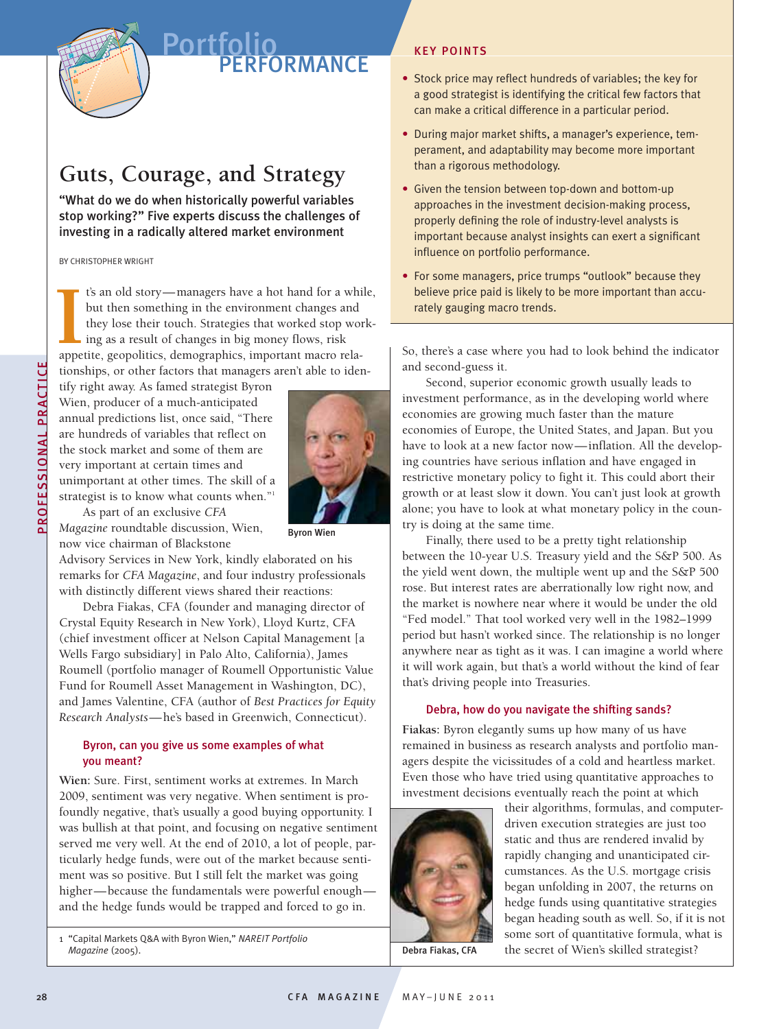

# Portfolio **PERFORMANCE**

# **Guts, Courage, and Strategy**

"What do we do when historically powerful variables stop working?" Five experts discuss the challenges of investing in a radically altered market environment

BY CHRISTOPHER WRIGHT

t's an old story—managers have a hot hand for a while, but then something in the environment changes and they lose their touch. Strategies that worked stop working as a result of changes in big money flows, risk **1**'s an old story—managers have a hot hand for a whibut then something in the environment changes and they lose their touch. Strategies that worked stop wo ing as a result of changes in big money flows, risk appetite, geo tionships, or other factors that managers aren't able to iden-

tify right away. As famed strategist Byron Wien, producer of a much-anticipated annual predictions list, once said, "There are hundreds of variables that reflect on the stock market and some of them are very important at certain times and unimportant at other times. The skill of a strategist is to know what counts when."<sup>1</sup> As part of an exclusive *CFA*



*Magazine* roundtable discussion, Wien, now vice chairman of Blackstone

Byron Wien

Advisory Services in New York, kindly elaborated on his remarks for *CFA Magazine*, and four industry professionals with distinctly different views shared their reactions:

Debra Fiakas, CFA (founder and managing director of Crystal Equity Research in New York), Lloyd Kurtz, CFA (chief investment officer at Nelson Capital Management [a Wells Fargo subsidiary] in Palo Alto, California), James Roumell (portfolio manager of Roumell Opportunistic Value Fund for Roumell Asset Management in Washington, DC), and James Valentine, CFA (author of *Best Practices for Equity Research Analysts*—he's based in Greenwich, Connecticut).

### Byron, can you give us some examples of what you meant?

**Wien:** Sure. First, sentiment works at extremes. In March 2009, sentiment was very negative. When sentiment is profoundly negative, that's usually a good buying opportunity. I was bullish at that point, and focusing on negative sentiment served me very well. At the end of 2010, a lot of people, particularly hedge funds, were out of the market because sentiment was so positive. But I still felt the market was going higher—because the fundamentals were powerful enough and the hedge funds would be trapped and forced to go in.

1 "Capital Markets Q&A with Byron Wien," *NAREIT Portfolio Magazine* (2005).

## KEY POINTS

- Stock price may reflect hundreds of variables; the key for a good strategist is identifying the critical few factors that can make a critical difference in a particular period.
- During major market shifts, a manager's experience, temperament, and adaptability may become more important than a rigorous methodology.
- Given the tension between top-down and bottom-up approaches in the investment decision-making process, properly defining the role of industry-level analysts is important because analyst insights can exert a significant influence on portfolio performance.
- For some managers, price trumps "outlook" because they believe price paid is likely to be more important than accurately gauging macro trends.

So, there's a case where you had to look behind the indicator and second-guess it.

Second, superior economic growth usually leads to investment performance, as in the developing world where economies are growing much faster than the mature economies of Europe, the United States, and Japan. But you have to look at a new factor now—inflation. All the developing countries have serious inflation and have engaged in restrictive monetary policy to fight it. This could abort their growth or at least slow it down. You can't just look at growth alone; you have to look at what monetary policy in the country is doing at the same time.

Finally, there used to be a pretty tight relationship between the 10-year U.S. Treasury yield and the S&P 500. As the yield went down, the multiple went up and the S&P 500 rose. But interest rates are aberrationally low right now, and the market is nowhere near where it would be under the old "Fed model." That tool worked very well in the 1982–1999 period but hasn't worked since. The relationship is no longer anywhere near as tight as it was. I can imagine a world where it will work again, but that's a world without the kind of fear that's driving people into Treasuries.

#### Debra, how do you navigate the shifting sands?

**Fiakas:** Byron elegantly sums up how many of us have remained in business as research analysts and portfolio managers despite the vicissitudes of a cold and heartless market. Even those who have tried using quantitative approaches to investment decisions eventually reach the point at which



their algorithms, formulas, and computerdriven execution strategies are just too static and thus are rendered invalid by rapidly changing and unanticipated circumstances. As the U.S. mortgage crisis began unfolding in 2007, the returns on hedge funds using quantitative strategies began heading south as well. So, if it is not some sort of quantitative formula, what is the secret of Wien's skilled strategist?

Debra Fiakas, CFA